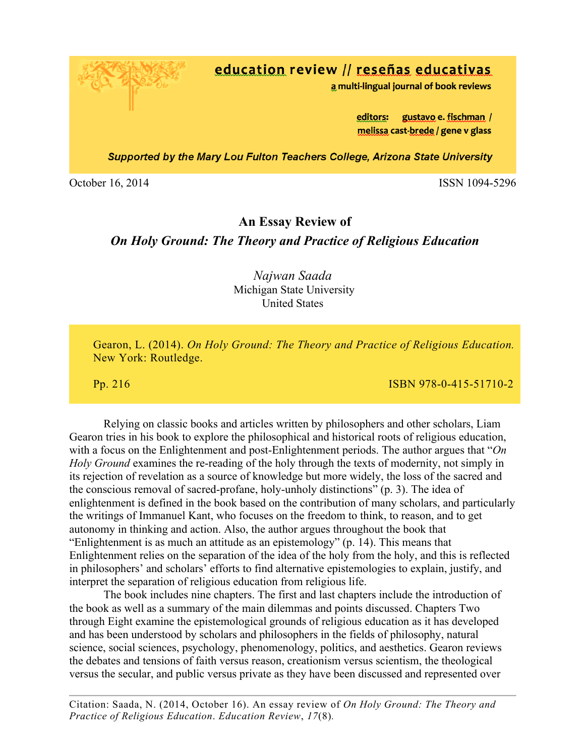education review // reseñas educativas

a multi-lingual journal of book reviews

editors: gustavo e. fischman / melissa cast-brede / gene v glass

**Supported by the Mary Lou Fulton Teachers College, Arizona State University** 

October 16, 2014 ISSN 1094-5296

## **An Essay Review of**

## *On Holy Ground: The Theory and Practice of Religious Education*

### *Najwan Saada* Michigan State University United States

 Gearon, L. (2014). *On Holy Ground: The Theory and Practice of Religious Education.* New York: Routledge.

Pp. 216 ISBN 978-0-415-51710-2

Relying on classic books and articles written by philosophers and other scholars, Liam Gearon tries in his book to explore the philosophical and historical roots of religious education, with a focus on the Enlightenment and post-Enlightenment periods. The author argues that "*On Holy Ground* examines the re-reading of the holy through the texts of modernity, not simply in its rejection of revelation as a source of knowledge but more widely, the loss of the sacred and the conscious removal of sacred-profane, holy-unholy distinctions" (p. 3). The idea of enlightenment is defined in the book based on the contribution of many scholars, and particularly the writings of Immanuel Kant, who focuses on the freedom to think, to reason, and to get autonomy in thinking and action. Also, the author argues throughout the book that "Enlightenment is as much an attitude as an epistemology" (p. 14). This means that Enlightenment relies on the separation of the idea of the holy from the holy, and this is reflected in philosophers' and scholars' efforts to find alternative epistemologies to explain, justify, and interpret the separation of religious education from religious life.

The book includes nine chapters. The first and last chapters include the introduction of the book as well as a summary of the main dilemmas and points discussed. Chapters Two through Eight examine the epistemological grounds of religious education as it has developed and has been understood by scholars and philosophers in the fields of philosophy, natural science, social sciences, psychology, phenomenology, politics, and aesthetics. Gearon reviews the debates and tensions of faith versus reason, creationism versus scientism, the theological versus the secular, and public versus private as they have been discussed and represented over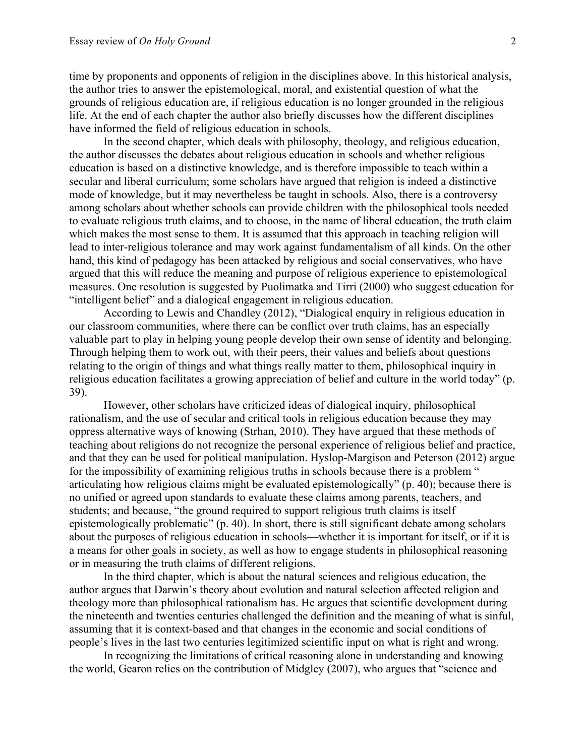time by proponents and opponents of religion in the disciplines above. In this historical analysis, the author tries to answer the epistemological, moral, and existential question of what the grounds of religious education are, if religious education is no longer grounded in the religious life. At the end of each chapter the author also briefly discusses how the different disciplines have informed the field of religious education in schools.

In the second chapter, which deals with philosophy, theology, and religious education, the author discusses the debates about religious education in schools and whether religious education is based on a distinctive knowledge, and is therefore impossible to teach within a secular and liberal curriculum; some scholars have argued that religion is indeed a distinctive mode of knowledge, but it may nevertheless be taught in schools. Also, there is a controversy among scholars about whether schools can provide children with the philosophical tools needed to evaluate religious truth claims, and to choose, in the name of liberal education, the truth claim which makes the most sense to them. It is assumed that this approach in teaching religion will lead to inter-religious tolerance and may work against fundamentalism of all kinds. On the other hand, this kind of pedagogy has been attacked by religious and social conservatives, who have argued that this will reduce the meaning and purpose of religious experience to epistemological measures. One resolution is suggested by Puolimatka and Tirri (2000) who suggest education for "intelligent belief" and a dialogical engagement in religious education.

According to Lewis and Chandley (2012), "Dialogical enquiry in religious education in our classroom communities, where there can be conflict over truth claims, has an especially valuable part to play in helping young people develop their own sense of identity and belonging. Through helping them to work out, with their peers, their values and beliefs about questions relating to the origin of things and what things really matter to them, philosophical inquiry in religious education facilitates a growing appreciation of belief and culture in the world today" (p. 39).

However, other scholars have criticized ideas of dialogical inquiry, philosophical rationalism, and the use of secular and critical tools in religious education because they may oppress alternative ways of knowing (Strhan, 2010). They have argued that these methods of teaching about religions do not recognize the personal experience of religious belief and practice, and that they can be used for political manipulation. Hyslop-Margison and Peterson (2012) argue for the impossibility of examining religious truths in schools because there is a problem " articulating how religious claims might be evaluated epistemologically" (p. 40); because there is no unified or agreed upon standards to evaluate these claims among parents, teachers, and students; and because, "the ground required to support religious truth claims is itself epistemologically problematic" (p. 40). In short, there is still significant debate among scholars about the purposes of religious education in schools—whether it is important for itself, or if it is a means for other goals in society, as well as how to engage students in philosophical reasoning or in measuring the truth claims of different religions.

In the third chapter, which is about the natural sciences and religious education, the author argues that Darwin's theory about evolution and natural selection affected religion and theology more than philosophical rationalism has. He argues that scientific development during the nineteenth and twenties centuries challenged the definition and the meaning of what is sinful, assuming that it is context-based and that changes in the economic and social conditions of people's lives in the last two centuries legitimized scientific input on what is right and wrong.

In recognizing the limitations of critical reasoning alone in understanding and knowing the world, Gearon relies on the contribution of Midgley (2007), who argues that "science and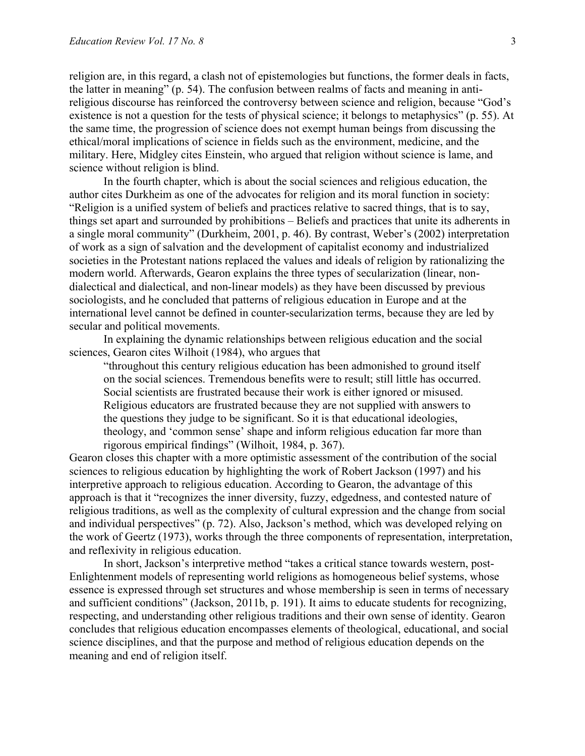religion are, in this regard, a clash not of epistemologies but functions, the former deals in facts, the latter in meaning" (p. 54). The confusion between realms of facts and meaning in antireligious discourse has reinforced the controversy between science and religion, because "God's existence is not a question for the tests of physical science; it belongs to metaphysics" (p. 55). At the same time, the progression of science does not exempt human beings from discussing the ethical/moral implications of science in fields such as the environment, medicine, and the military. Here, Midgley cites Einstein, who argued that religion without science is lame, and science without religion is blind.

In the fourth chapter, which is about the social sciences and religious education, the author cites Durkheim as one of the advocates for religion and its moral function in society: "Religion is a unified system of beliefs and practices relative to sacred things, that is to say, things set apart and surrounded by prohibitions – Beliefs and practices that unite its adherents in a single moral community" (Durkheim, 2001, p. 46). By contrast, Weber's (2002) interpretation of work as a sign of salvation and the development of capitalist economy and industrialized societies in the Protestant nations replaced the values and ideals of religion by rationalizing the modern world. Afterwards, Gearon explains the three types of secularization (linear, nondialectical and dialectical, and non-linear models) as they have been discussed by previous sociologists, and he concluded that patterns of religious education in Europe and at the international level cannot be defined in counter-secularization terms, because they are led by secular and political movements.

In explaining the dynamic relationships between religious education and the social sciences, Gearon cites Wilhoit (1984), who argues that

"throughout this century religious education has been admonished to ground itself on the social sciences. Tremendous benefits were to result; still little has occurred. Social scientists are frustrated because their work is either ignored or misused. Religious educators are frustrated because they are not supplied with answers to the questions they judge to be significant. So it is that educational ideologies, theology, and 'common sense' shape and inform religious education far more than rigorous empirical findings" (Wilhoit, 1984, p. 367).

Gearon closes this chapter with a more optimistic assessment of the contribution of the social sciences to religious education by highlighting the work of Robert Jackson (1997) and his interpretive approach to religious education. According to Gearon, the advantage of this approach is that it "recognizes the inner diversity, fuzzy, edgedness, and contested nature of religious traditions, as well as the complexity of cultural expression and the change from social and individual perspectives" (p. 72). Also, Jackson's method, which was developed relying on the work of Geertz (1973), works through the three components of representation, interpretation, and reflexivity in religious education.

In short, Jackson's interpretive method "takes a critical stance towards western, post-Enlightenment models of representing world religions as homogeneous belief systems, whose essence is expressed through set structures and whose membership is seen in terms of necessary and sufficient conditions" (Jackson, 2011b, p. 191). It aims to educate students for recognizing, respecting, and understanding other religious traditions and their own sense of identity. Gearon concludes that religious education encompasses elements of theological, educational, and social science disciplines, and that the purpose and method of religious education depends on the meaning and end of religion itself.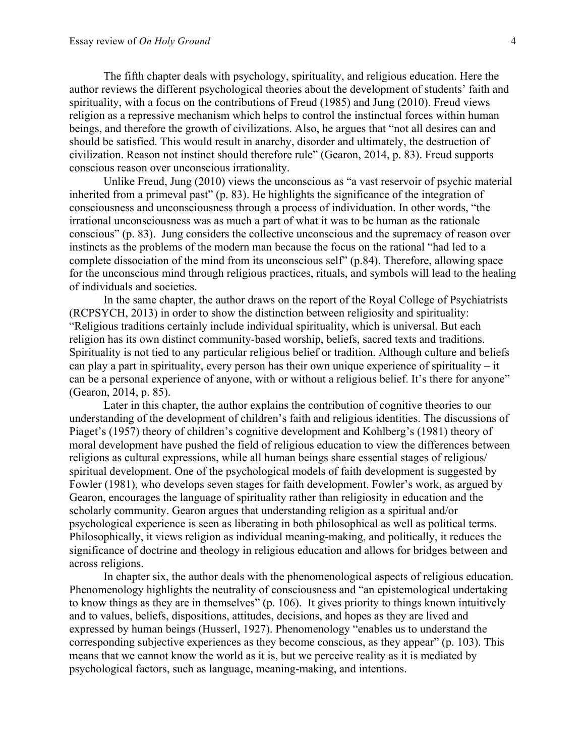The fifth chapter deals with psychology, spirituality, and religious education. Here the author reviews the different psychological theories about the development of students' faith and spirituality, with a focus on the contributions of Freud (1985) and Jung (2010). Freud views religion as a repressive mechanism which helps to control the instinctual forces within human beings, and therefore the growth of civilizations. Also, he argues that "not all desires can and should be satisfied. This would result in anarchy, disorder and ultimately, the destruction of civilization. Reason not instinct should therefore rule" (Gearon, 2014, p. 83). Freud supports conscious reason over unconscious irrationality.

Unlike Freud, Jung (2010) views the unconscious as "a vast reservoir of psychic material inherited from a primeval past" (p. 83). He highlights the significance of the integration of consciousness and unconsciousness through a process of individuation. In other words, "the irrational unconsciousness was as much a part of what it was to be human as the rationale conscious" (p. 83). Jung considers the collective unconscious and the supremacy of reason over instincts as the problems of the modern man because the focus on the rational "had led to a complete dissociation of the mind from its unconscious self" (p.84). Therefore, allowing space for the unconscious mind through religious practices, rituals, and symbols will lead to the healing of individuals and societies.

In the same chapter, the author draws on the report of the Royal College of Psychiatrists (RCPSYCH, 2013) in order to show the distinction between religiosity and spirituality: "Religious traditions certainly include individual spirituality, which is universal. But each religion has its own distinct community-based worship, beliefs, sacred texts and traditions. Spirituality is not tied to any particular religious belief or tradition. Although culture and beliefs can play a part in spirituality, every person has their own unique experience of spirituality – it can be a personal experience of anyone, with or without a religious belief. It's there for anyone" (Gearon, 2014, p. 85).

Later in this chapter, the author explains the contribution of cognitive theories to our understanding of the development of children's faith and religious identities. The discussions of Piaget's (1957) theory of children's cognitive development and Kohlberg's (1981) theory of moral development have pushed the field of religious education to view the differences between religions as cultural expressions, while all human beings share essential stages of religious/ spiritual development. One of the psychological models of faith development is suggested by Fowler (1981), who develops seven stages for faith development. Fowler's work, as argued by Gearon, encourages the language of spirituality rather than religiosity in education and the scholarly community. Gearon argues that understanding religion as a spiritual and/or psychological experience is seen as liberating in both philosophical as well as political terms. Philosophically, it views religion as individual meaning-making, and politically, it reduces the significance of doctrine and theology in religious education and allows for bridges between and across religions.

In chapter six, the author deals with the phenomenological aspects of religious education. Phenomenology highlights the neutrality of consciousness and "an epistemological undertaking to know things as they are in themselves" (p. 106). It gives priority to things known intuitively and to values, beliefs, dispositions, attitudes, decisions, and hopes as they are lived and expressed by human beings (Husserl, 1927). Phenomenology "enables us to understand the corresponding subjective experiences as they become conscious, as they appear" (p. 103). This means that we cannot know the world as it is, but we perceive reality as it is mediated by psychological factors, such as language, meaning-making, and intentions.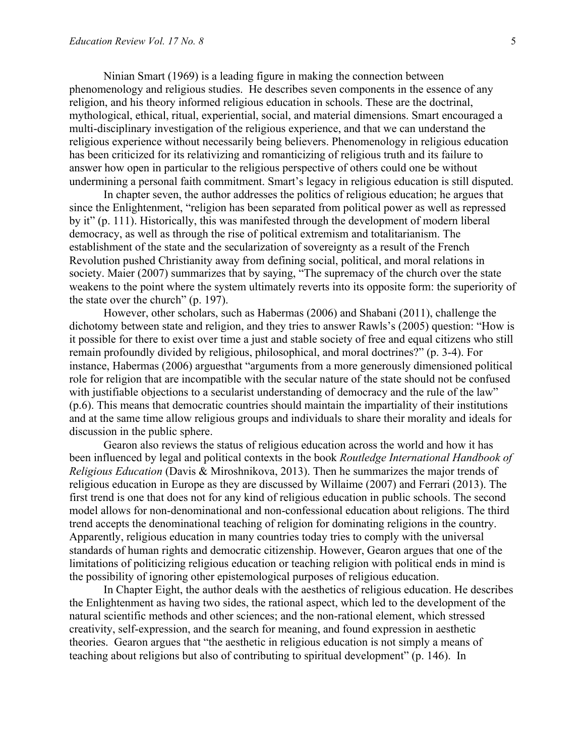Ninian Smart (1969) is a leading figure in making the connection between phenomenology and religious studies. He describes seven components in the essence of any religion, and his theory informed religious education in schools. These are the doctrinal, mythological, ethical, ritual, experiential, social, and material dimensions. Smart encouraged a multi-disciplinary investigation of the religious experience, and that we can understand the religious experience without necessarily being believers. Phenomenology in religious education has been criticized for its relativizing and romanticizing of religious truth and its failure to answer how open in particular to the religious perspective of others could one be without undermining a personal faith commitment. Smart's legacy in religious education is still disputed.

In chapter seven, the author addresses the politics of religious education; he argues that since the Enlightenment, "religion has been separated from political power as well as repressed by it" (p. 111). Historically, this was manifested through the development of modern liberal democracy, as well as through the rise of political extremism and totalitarianism. The establishment of the state and the secularization of sovereignty as a result of the French Revolution pushed Christianity away from defining social, political, and moral relations in society. Maier (2007) summarizes that by saying, "The supremacy of the church over the state weakens to the point where the system ultimately reverts into its opposite form: the superiority of the state over the church" (p. 197).

However, other scholars, such as Habermas (2006) and Shabani (2011), challenge the dichotomy between state and religion, and they tries to answer Rawls's (2005) question: "How is it possible for there to exist over time a just and stable society of free and equal citizens who still remain profoundly divided by religious, philosophical, and moral doctrines?" (p. 3-4). For instance, Habermas (2006) arguesthat "arguments from a more generously dimensioned political role for religion that are incompatible with the secular nature of the state should not be confused with justifiable objections to a secularist understanding of democracy and the rule of the law" (p.6). This means that democratic countries should maintain the impartiality of their institutions and at the same time allow religious groups and individuals to share their morality and ideals for discussion in the public sphere.

Gearon also reviews the status of religious education across the world and how it has been influenced by legal and political contexts in the book *Routledge International Handbook of Religious Education* (Davis & Miroshnikova, 2013). Then he summarizes the major trends of religious education in Europe as they are discussed by Willaime (2007) and Ferrari (2013). The first trend is one that does not for any kind of religious education in public schools. The second model allows for non-denominational and non-confessional education about religions. The third trend accepts the denominational teaching of religion for dominating religions in the country. Apparently, religious education in many countries today tries to comply with the universal standards of human rights and democratic citizenship. However, Gearon argues that one of the limitations of politicizing religious education or teaching religion with political ends in mind is the possibility of ignoring other epistemological purposes of religious education.

In Chapter Eight, the author deals with the aesthetics of religious education. He describes the Enlightenment as having two sides, the rational aspect, which led to the development of the natural scientific methods and other sciences; and the non-rational element, which stressed creativity, self-expression, and the search for meaning, and found expression in aesthetic theories. Gearon argues that "the aesthetic in religious education is not simply a means of teaching about religions but also of contributing to spiritual development" (p. 146). In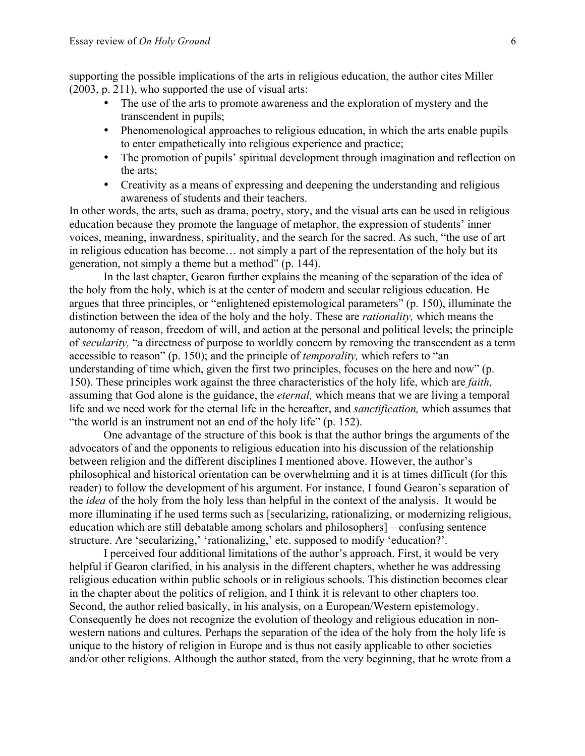supporting the possible implications of the arts in religious education, the author cites Miller (2003, p. 211), who supported the use of visual arts:

- The use of the arts to promote awareness and the exploration of mystery and the transcendent in pupils;
- Phenomenological approaches to religious education, in which the arts enable pupils to enter empathetically into religious experience and practice;
- The promotion of pupils' spiritual development through imagination and reflection on the arts;
- Creativity as a means of expressing and deepening the understanding and religious awareness of students and their teachers.

In other words, the arts, such as drama, poetry, story, and the visual arts can be used in religious education because they promote the language of metaphor, the expression of students' inner voices, meaning, inwardness, spirituality, and the search for the sacred. As such, "the use of art in religious education has become… not simply a part of the representation of the holy but its generation, not simply a theme but a method" (p. 144).

In the last chapter, Gearon further explains the meaning of the separation of the idea of the holy from the holy, which is at the center of modern and secular religious education. He argues that three principles, or "enlightened epistemological parameters" (p. 150), illuminate the distinction between the idea of the holy and the holy. These are *rationality,* which means the autonomy of reason, freedom of will, and action at the personal and political levels; the principle of *secularity,* "a directness of purpose to worldly concern by removing the transcendent as a term accessible to reason" (p. 150); and the principle of *temporality,* which refers to "an understanding of time which, given the first two principles, focuses on the here and now" (p. 150). These principles work against the three characteristics of the holy life, which are *faith,* assuming that God alone is the guidance, the *eternal,* which means that we are living a temporal life and we need work for the eternal life in the hereafter, and *sanctification,* which assumes that "the world is an instrument not an end of the holy life" (p. 152).

One advantage of the structure of this book is that the author brings the arguments of the advocators of and the opponents to religious education into his discussion of the relationship between religion and the different disciplines I mentioned above. However, the author's philosophical and historical orientation can be overwhelming and it is at times difficult (for this reader) to follow the development of his argument. For instance, I found Gearon's separation of the *idea* of the holy from the holy less than helpful in the context of the analysis. It would be more illuminating if he used terms such as [secularizing, rationalizing, or modernizing religious, education which are still debatable among scholars and philosophers] – confusing sentence structure. Are 'secularizing,' 'rationalizing,' etc. supposed to modify 'education?'.

I perceived four additional limitations of the author's approach. First, it would be very helpful if Gearon clarified, in his analysis in the different chapters, whether he was addressing religious education within public schools or in religious schools. This distinction becomes clear in the chapter about the politics of religion, and I think it is relevant to other chapters too. Second, the author relied basically, in his analysis, on a European/Western epistemology. Consequently he does not recognize the evolution of theology and religious education in nonwestern nations and cultures. Perhaps the separation of the idea of the holy from the holy life is unique to the history of religion in Europe and is thus not easily applicable to other societies and/or other religions. Although the author stated, from the very beginning, that he wrote from a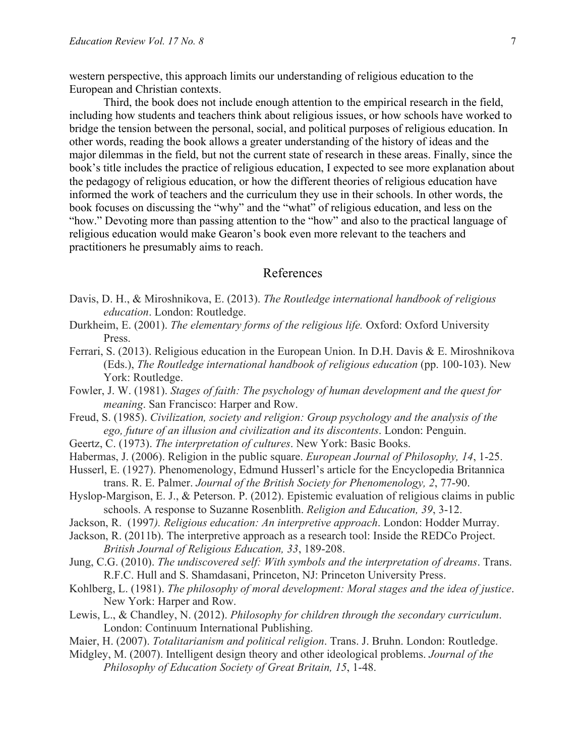western perspective, this approach limits our understanding of religious education to the European and Christian contexts.

Third, the book does not include enough attention to the empirical research in the field, including how students and teachers think about religious issues, or how schools have worked to bridge the tension between the personal, social, and political purposes of religious education. In other words, reading the book allows a greater understanding of the history of ideas and the major dilemmas in the field, but not the current state of research in these areas. Finally, since the book's title includes the practice of religious education, I expected to see more explanation about the pedagogy of religious education, or how the different theories of religious education have informed the work of teachers and the curriculum they use in their schools. In other words, the book focuses on discussing the "why" and the "what" of religious education, and less on the "how." Devoting more than passing attention to the "how" and also to the practical language of religious education would make Gearon's book even more relevant to the teachers and practitioners he presumably aims to reach.

#### References

- Davis, D. H., & Miroshnikova, E. (2013). *The Routledge international handbook of religious education*. London: Routledge.
- Durkheim, E. (2001). *The elementary forms of the religious life.* Oxford: Oxford University Press.
- Ferrari, S. (2013). Religious education in the European Union. In D.H. Davis & E. Miroshnikova (Eds.), *The Routledge international handbook of religious education* (pp. 100-103). New York: Routledge.
- Fowler, J. W. (1981). *Stages of faith: The psychology of human development and the quest for meaning*. San Francisco: Harper and Row.
- Freud, S. (1985). *Civilization, society and religion: Group psychology and the analysis of the ego, future of an illusion and civilization and its discontents*. London: Penguin.
- Geertz, C. (1973). *The interpretation of cultures*. New York: Basic Books.
- Habermas, J. (2006). Religion in the public square. *European Journal of Philosophy, 14*, 1-25.
- Husserl, E. (1927). Phenomenology, Edmund Husserl's article for the Encyclopedia Britannica trans. R. E. Palmer. *Journal of the British Society for Phenomenology, 2*, 77-90.
- Hyslop-Margison, E. J., & Peterson. P. (2012). Epistemic evaluation of religious claims in public schools. A response to Suzanne Rosenblith. *Religion and Education, 39*, 3-12.
- Jackson, R. (1997*). Religious education: An interpretive approach*. London: Hodder Murray.
- Jackson, R. (2011b). The interpretive approach as a research tool: Inside the REDCo Project. *British Journal of Religious Education, 33*, 189-208.
- Jung, C.G. (2010). *The undiscovered self: With symbols and the interpretation of dreams*. Trans. R.F.C. Hull and S. Shamdasani, Princeton, NJ: Princeton University Press.
- Kohlberg, L. (1981). *The philosophy of moral development: Moral stages and the idea of justice*. New York: Harper and Row.
- Lewis, L., & Chandley, N. (2012). *Philosophy for children through the secondary curriculum*. London: Continuum International Publishing.
- Maier, H. (2007). *Totalitarianism and political religion*. Trans. J. Bruhn. London: Routledge.
- Midgley, M. (2007). Intelligent design theory and other ideological problems. *Journal of the Philosophy of Education Society of Great Britain, 15*, 1-48.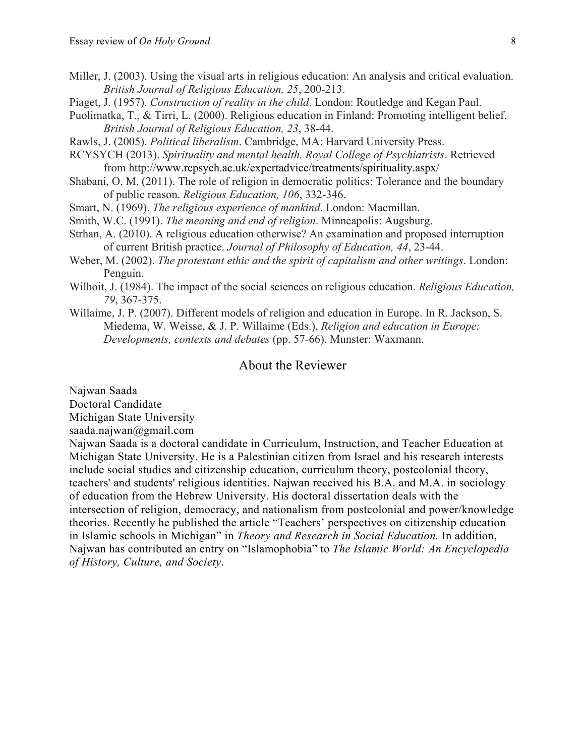- Miller, J. (2003). Using the visual arts in religious education: An analysis and critical evaluation. *British Journal of Religious Education, 25*, 200-213.
- Piaget, J. (1957). *Construction of reality in the child*. London: Routledge and Kegan Paul.
- Puolimatka, T., & Tirri, L. (2000). Religious education in Finland: Promoting intelligent belief. *British Journal of Religious Education, 23*, 38-44.

Rawls, J. (2005). *Political liberalism*. Cambridge, MA: Harvard University Press.

- RCYSYCH (2013). *Spirituality and mental health. Royal College of Psychiatrists*. Retrieved from http://www.rcpsych.ac.uk/expertadvice/treatments/spirituality.aspx/
- Shabani, O. M. (2011). The role of religion in democratic politics: Tolerance and the boundary of public reason. *Religious Education, 106*, 332-346.
- Smart, N. (1969). *The religious experience of mankind*. London: Macmillan.
- Smith, W.C. (1991). *The meaning and end of religion*. Minneapolis: Augsburg.
- Strhan, A. (2010). A religious education otherwise? An examination and proposed interruption of current British practice. *Journal of Philosophy of Education, 44*, 23-44.
- Weber, M. (2002). *The protestant ethic and the spirit of capitalism and other writings*. London: Penguin.
- Wilhoit, J. (1984). The impact of the social sciences on religious education. *Religious Education, 79*, 367-375.
- Willaime, J. P. (2007). Different models of religion and education in Europe. In R. Jackson, S. Miedema, W. Weisse, & J. P. Willaime (Eds.), *Religion and education in Europe: Developments, contexts and debates* (pp. 57-66). Munster: Waxmann.

### About the Reviewer

Najwan Saada

Doctoral Candidate

Michigan State University

saada.najwan@gmail.com

Najwan Saada is a doctoral candidate in Curriculum, Instruction, and Teacher Education at Michigan State University. He is a Palestinian citizen from Israel and his research interests include social studies and citizenship education, curriculum theory, postcolonial theory, teachers' and students' religious identities. Najwan received his B.A. and M.A. in sociology of education from the Hebrew University. His doctoral dissertation deals with the intersection of religion, democracy, and nationalism from postcolonial and power/knowledge theories. Recently he published the article "Teachers' perspectives on citizenship education in Islamic schools in Michigan" in *Theory and Research in Social Education.* In addition, Najwan has contributed an entry on "Islamophobia" to *The Islamic World: An Encyclopedia of History, Culture, and Society*.